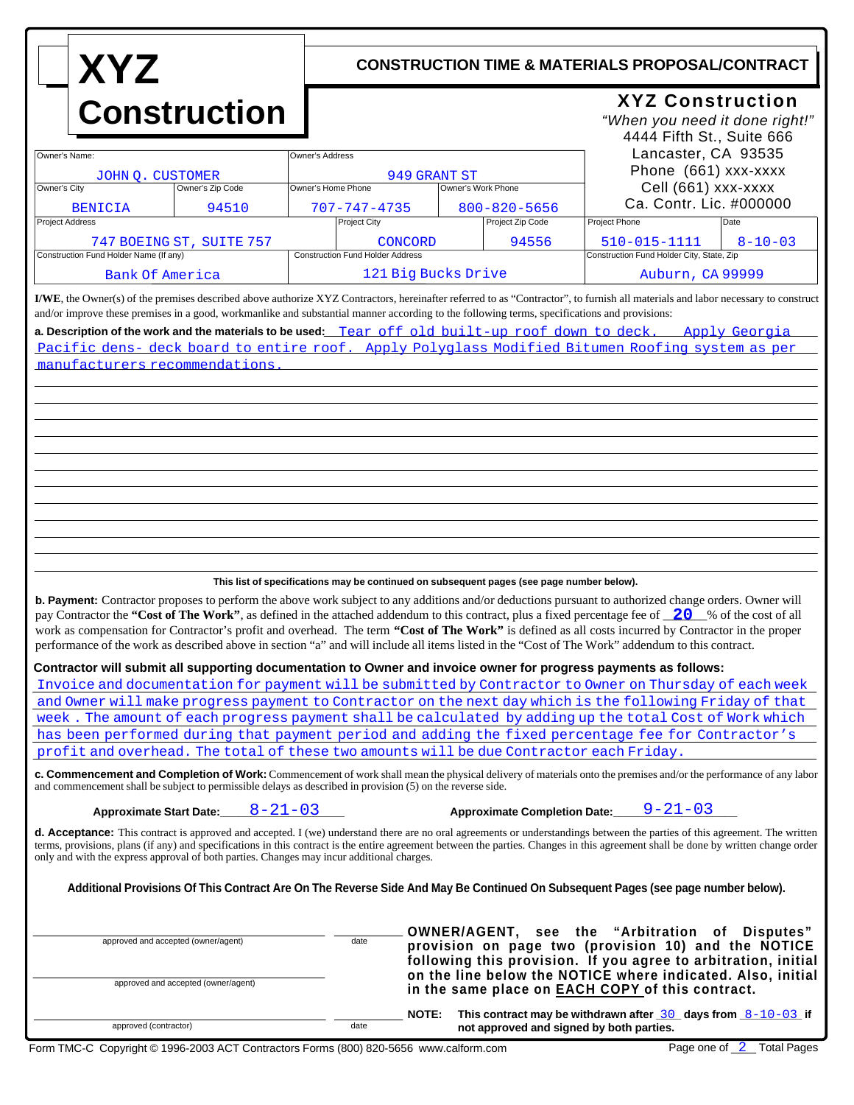| <b>XYZ</b>                                                                                                                                                                                                                                                                                                                                                                                                                                                                                                                                                                                                              |                                         | <b>CONSTRUCTION TIME &amp; MATERIALS PROPOSAL/CONTRACT</b>                                                                                                                     |                                                                                        |                                                                                               |  |
|-------------------------------------------------------------------------------------------------------------------------------------------------------------------------------------------------------------------------------------------------------------------------------------------------------------------------------------------------------------------------------------------------------------------------------------------------------------------------------------------------------------------------------------------------------------------------------------------------------------------------|-----------------------------------------|--------------------------------------------------------------------------------------------------------------------------------------------------------------------------------|----------------------------------------------------------------------------------------|-----------------------------------------------------------------------------------------------|--|
| <b>Construction</b>                                                                                                                                                                                                                                                                                                                                                                                                                                                                                                                                                                                                     |                                         |                                                                                                                                                                                | <b>XYZ Construction</b><br>"When you need it done right!"<br>4444 Fifth St., Suite 666 |                                                                                               |  |
| Owner's Name:                                                                                                                                                                                                                                                                                                                                                                                                                                                                                                                                                                                                           | Owner's Address                         |                                                                                                                                                                                |                                                                                        | Lancaster, CA 93535<br>Phone (661) xxx-xxxx<br>Cell (661) xxx-xxxx<br>Ca. Contr. Lic. #000000 |  |
| JOHN Q. CUSTOMER<br>Owner's City<br>Owner's Zip Code                                                                                                                                                                                                                                                                                                                                                                                                                                                                                                                                                                    | Owner's Home Phone                      | 949 GRANT ST<br>Owner's Work Phone                                                                                                                                             |                                                                                        |                                                                                               |  |
| 94510<br><b>BENICIA</b>                                                                                                                                                                                                                                                                                                                                                                                                                                                                                                                                                                                                 |                                         | $800 - 820 - 5656$<br>$707 - 747 - 4735$                                                                                                                                       |                                                                                        |                                                                                               |  |
| Project Address                                                                                                                                                                                                                                                                                                                                                                                                                                                                                                                                                                                                         | Project City                            | Project Zip Code                                                                                                                                                               | Project Phone                                                                          | Date                                                                                          |  |
| 747 BOEING ST, SUITE 757                                                                                                                                                                                                                                                                                                                                                                                                                                                                                                                                                                                                | CONCORD                                 | 94556                                                                                                                                                                          | 510-015-1111                                                                           | $8 - 10 - 03$                                                                                 |  |
| Construction Fund Holder Name (If any)                                                                                                                                                                                                                                                                                                                                                                                                                                                                                                                                                                                  | <b>Construction Fund Holder Address</b> |                                                                                                                                                                                |                                                                                        | Construction Fund Holder City, State, Zip                                                     |  |
| <b>Bank Of America</b>                                                                                                                                                                                                                                                                                                                                                                                                                                                                                                                                                                                                  |                                         | 121 Big Bucks Drive                                                                                                                                                            |                                                                                        | Auburn, CA 99999                                                                              |  |
| I/WE, the Owner(s) of the premises described above authorize XYZ Contractors, hereinafter referred to as "Contractor", to furnish all materials and labor necessary to construct<br>and/or improve these premises in a good, workmanlike and substantial manner according to the following terms, specifications and provisions:                                                                                                                                                                                                                                                                                        |                                         |                                                                                                                                                                                |                                                                                        |                                                                                               |  |
| a. Description of the work and the materials to be used: Tear off old built-up roof down to deck. Apply Georgia<br>Pacific dens- deck board to entire roof. Apply Polyglass Modified Bitumen Roofing system as per                                                                                                                                                                                                                                                                                                                                                                                                      |                                         |                                                                                                                                                                                |                                                                                        |                                                                                               |  |
| manufacturers recommendations                                                                                                                                                                                                                                                                                                                                                                                                                                                                                                                                                                                           |                                         |                                                                                                                                                                                |                                                                                        |                                                                                               |  |
|                                                                                                                                                                                                                                                                                                                                                                                                                                                                                                                                                                                                                         |                                         |                                                                                                                                                                                |                                                                                        |                                                                                               |  |
|                                                                                                                                                                                                                                                                                                                                                                                                                                                                                                                                                                                                                         |                                         |                                                                                                                                                                                |                                                                                        |                                                                                               |  |
|                                                                                                                                                                                                                                                                                                                                                                                                                                                                                                                                                                                                                         |                                         |                                                                                                                                                                                |                                                                                        |                                                                                               |  |
|                                                                                                                                                                                                                                                                                                                                                                                                                                                                                                                                                                                                                         |                                         |                                                                                                                                                                                |                                                                                        |                                                                                               |  |
|                                                                                                                                                                                                                                                                                                                                                                                                                                                                                                                                                                                                                         |                                         |                                                                                                                                                                                |                                                                                        |                                                                                               |  |
|                                                                                                                                                                                                                                                                                                                                                                                                                                                                                                                                                                                                                         |                                         |                                                                                                                                                                                |                                                                                        |                                                                                               |  |
|                                                                                                                                                                                                                                                                                                                                                                                                                                                                                                                                                                                                                         |                                         |                                                                                                                                                                                |                                                                                        |                                                                                               |  |
|                                                                                                                                                                                                                                                                                                                                                                                                                                                                                                                                                                                                                         |                                         |                                                                                                                                                                                |                                                                                        |                                                                                               |  |
|                                                                                                                                                                                                                                                                                                                                                                                                                                                                                                                                                                                                                         |                                         |                                                                                                                                                                                |                                                                                        |                                                                                               |  |
|                                                                                                                                                                                                                                                                                                                                                                                                                                                                                                                                                                                                                         |                                         |                                                                                                                                                                                |                                                                                        |                                                                                               |  |
| This list of specifications may be continued on subsequent pages (see page number below).                                                                                                                                                                                                                                                                                                                                                                                                                                                                                                                               |                                         |                                                                                                                                                                                |                                                                                        |                                                                                               |  |
| b. Payment: Contractor proposes to perform the above work subject to any additions and/or deductions pursuant to authorized change orders. Owner will<br>pay Contractor the "Cost of The Work", as defined in the attached addendum to this contract, plus a fixed percentage fee of 20 % of the cost of all<br>work as compensation for Contractor's profit and overhead. The term "Cost of The Work" is defined as all costs incurred by Contractor in the proper<br>performance of the work as described above in section "a" and will include all items listed in the "Cost of The Work" addendum to this contract. |                                         |                                                                                                                                                                                |                                                                                        |                                                                                               |  |
|                                                                                                                                                                                                                                                                                                                                                                                                                                                                                                                                                                                                                         |                                         |                                                                                                                                                                                |                                                                                        |                                                                                               |  |
| Contractor will submit all supporting documentation to Owner and invoice owner for progress payments as follows:<br>Invoice and documentation for payment will be submitted by Contractor to Owner on Thursday of each week                                                                                                                                                                                                                                                                                                                                                                                             |                                         |                                                                                                                                                                                |                                                                                        |                                                                                               |  |
| and Owner will make progress payment to Contractor on the next day which is the following Friday of that                                                                                                                                                                                                                                                                                                                                                                                                                                                                                                                |                                         |                                                                                                                                                                                |                                                                                        |                                                                                               |  |
| week. The amount of each progress payment shall be calculated by adding up the total Cost of Work which                                                                                                                                                                                                                                                                                                                                                                                                                                                                                                                 |                                         |                                                                                                                                                                                |                                                                                        |                                                                                               |  |
| has been performed during that payment period and adding the fixed percentage fee for Contractor's<br>profit and overhead. The total of these two amounts will be due Contractor each Friday.                                                                                                                                                                                                                                                                                                                                                                                                                           |                                         |                                                                                                                                                                                |                                                                                        |                                                                                               |  |
| c. Commencement and Completion of Work: Commencement of work shall mean the physical delivery of materials onto the premises and/or the performance of any labor                                                                                                                                                                                                                                                                                                                                                                                                                                                        |                                         |                                                                                                                                                                                |                                                                                        |                                                                                               |  |
| and commencement shall be subject to permissible delays as described in provision (5) on the reverse side.<br>$8 - 21 - 03$<br><b>Approximate Start Date:</b>                                                                                                                                                                                                                                                                                                                                                                                                                                                           |                                         | <b>Approximate Completion Date:</b>                                                                                                                                            | $9 - 21 - 03$                                                                          |                                                                                               |  |
| d. Acceptance: This contract is approved and accepted. I (we) understand there are no oral agreements or understandings between the parties of this agreement. The written<br>terms, provisions, plans (if any) and specifications in this contract is the entire agreement between the parties. Changes in this agreement shall be done by written change order<br>only and with the express approval of both parties. Changes may incur additional charges.                                                                                                                                                           |                                         |                                                                                                                                                                                |                                                                                        |                                                                                               |  |
| Additional Provisions Of This Contract Are On The Reverse Side And May Be Continued On Subsequent Pages (see page number below).                                                                                                                                                                                                                                                                                                                                                                                                                                                                                        |                                         |                                                                                                                                                                                |                                                                                        |                                                                                               |  |
|                                                                                                                                                                                                                                                                                                                                                                                                                                                                                                                                                                                                                         |                                         |                                                                                                                                                                                |                                                                                        |                                                                                               |  |
| approved and accepted (owner/agent)                                                                                                                                                                                                                                                                                                                                                                                                                                                                                                                                                                                     | date                                    | <b>OWNER/AGENT, see the "Arbitration of Disputes"</b><br>provision on page two (provision 10) and the NOTICE<br>following this provision. If you agree to arbitration, initial |                                                                                        |                                                                                               |  |
| approved and accepted (owner/agent)                                                                                                                                                                                                                                                                                                                                                                                                                                                                                                                                                                                     |                                         | on the line below the NOTICE where indicated. Also, initial<br>in the same place on <b>EACH COPY</b> of this contract.                                                         |                                                                                        |                                                                                               |  |
| approved (contractor)                                                                                                                                                                                                                                                                                                                                                                                                                                                                                                                                                                                                   | <b>NOTE:</b><br>date                    | not approved and signed by both parties.                                                                                                                                       | This contract may be withdrawn after $\frac{30}{20}$ days from $\frac{8-10-03}{2}$ if  |                                                                                               |  |
| $Conv_{i}$ obtained to $0.008$ and $0.07$ Contractors Earms (800) 820 EGER www.calform.com                                                                                                                                                                                                                                                                                                                                                                                                                                                                                                                              |                                         |                                                                                                                                                                                |                                                                                        | Page and of 2 Total Pages                                                                     |  |

Г